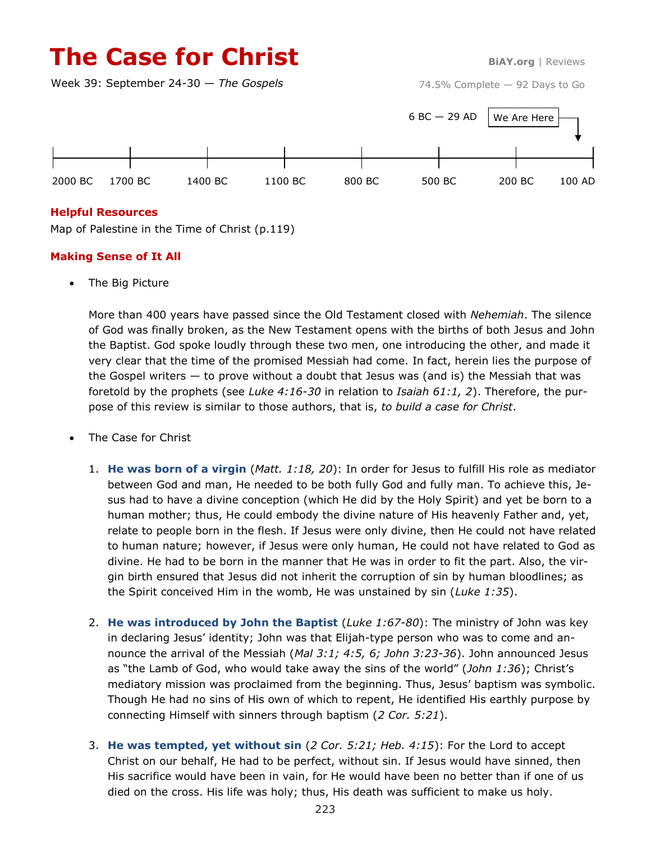# **The Case for Christ BiAY.org** | Reviews

Week 39: September 24-30 — *The Gospels*

74.5% Complete — 92 Days to Go



# **Helpful Resources**

Map of Palestine in the Time of Christ (p.119)

# **Making Sense of It All**

The Big Picture

More than 400 years have passed since the Old Testament closed with *Nehemiah*. The silence of God was finally broken, as the New Testament opens with the births of both Jesus and John the Baptist. God spoke loudly through these two men, one introducing the other, and made it very clear that the time of the promised Messiah had come. In fact, herein lies the purpose of the Gospel writers  $-$  to prove without a doubt that Jesus was (and is) the Messiah that was foretold by the prophets (see *Luke 4:16-30* in relation to *Isaiah 61:1, 2*). Therefore, the purpose of this review is similar to those authors, that is, *to build a case for Christ*.

- The Case for Christ
	- 1. **He was born of a virgin** (*Matt. 1:18, 20*): In order for Jesus to fulfill His role as mediator between God and man, He needed to be both fully God and fully man. To achieve this, Jesus had to have a divine conception (which He did by the Holy Spirit) and yet be born to a human mother; thus, He could embody the divine nature of His heavenly Father and, yet, relate to people born in the flesh. If Jesus were only divine, then He could not have related to human nature; however, if Jesus were only human, He could not have related to God as divine. He had to be born in the manner that He was in order to fit the part. Also, the virgin birth ensured that Jesus did not inherit the corruption of sin by human bloodlines; as the Spirit conceived Him in the womb, He was unstained by sin (*Luke 1:35*).
	- 2. **He was introduced by John the Baptist** (*Luke 1:67-80*): The ministry of John was key in declaring Jesus' identity; John was that Elijah-type person who was to come and announce the arrival of the Messiah (*Mal 3:1; 4:5, 6; John 3:23-36*). John announced Jesus as "the Lamb of God, who would take away the sins of the world" (*John 1:36*); Christ's mediatory mission was proclaimed from the beginning. Thus, Jesus' baptism was symbolic. Though He had no sins of His own of which to repent, He identified His earthly purpose by connecting Himself with sinners through baptism (*2 Cor. 5:21*).
	- 3. **He was tempted, yet without sin** (*2 Cor. 5:21; Heb. 4:15*): For the Lord to accept Christ on our behalf, He had to be perfect, without sin. If Jesus would have sinned, then His sacrifice would have been in vain, for He would have been no better than if one of us died on the cross. His life was holy; thus, His death was sufficient to make us holy.